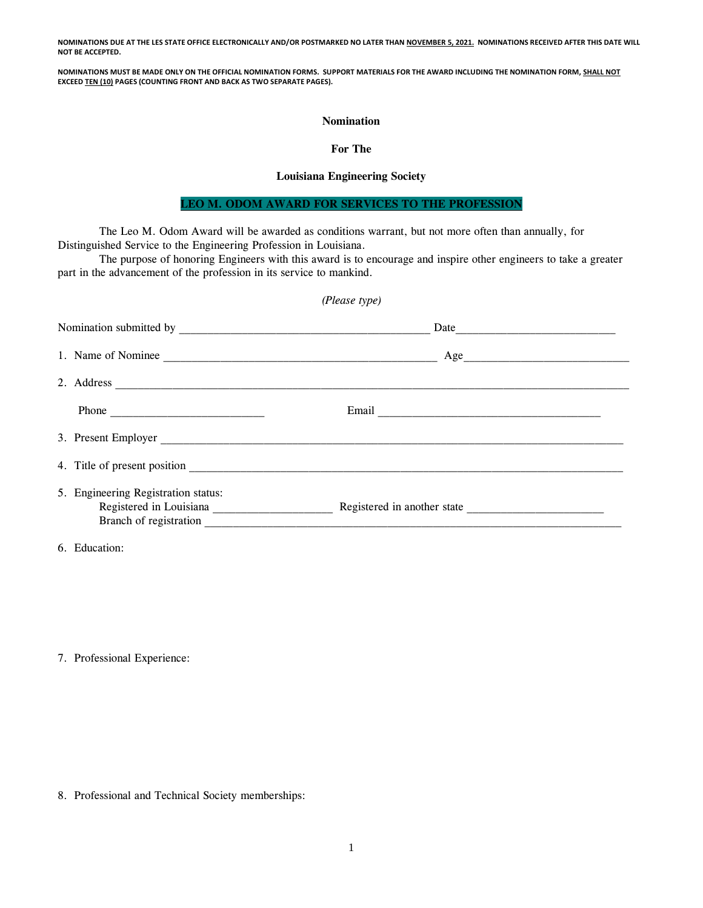**NOMINATIONS DUE AT THE LES STATE OFFICE ELECTRONICALLY AND/OR POSTMARKED NO LATER THAN NOVEMBER 5, 2021. NOMINATIONS RECEIVED AFTER THIS DATE WILL NOT BE ACCEPTED.**

**NOMINATIONS MUST BE MADE ONLY ON THE OFFICIAL NOMINATION FORMS. SUPPORT MATERIALS FOR THE AWARD INCLUDING THE NOMINATION FORM, SHALL NOT EXCEED TEN (10) PAGES (COUNTING FRONT AND BACK AS TWO SEPARATE PAGES).**

### **Nomination**

## **For The**

## **Louisiana Engineering Society**

# **LEO M. ODOM AWARD FOR SERVICES TO THE PROFESSION**

The Leo M. Odom Award will be awarded as conditions warrant, but not more often than annually, for Distinguished Service to the Engineering Profession in Louisiana.

The purpose of honoring Engineers with this award is to encourage and inspire other engineers to take a greater part in the advancement of the profession in its service to mankind.

#### *(Please type)*

|  |                                                                                          | Date |  |
|--|------------------------------------------------------------------------------------------|------|--|
|  | 1. Name of Nominee                                                                       | Age  |  |
|  |                                                                                          |      |  |
|  | Phone                                                                                    |      |  |
|  | 3. Present Employer                                                                      |      |  |
|  |                                                                                          |      |  |
|  | 5. Engineering Registration status:<br>Registered in Louisiana<br>Branch of registration |      |  |

6. Education:

7. Professional Experience:

8. Professional and Technical Society memberships: